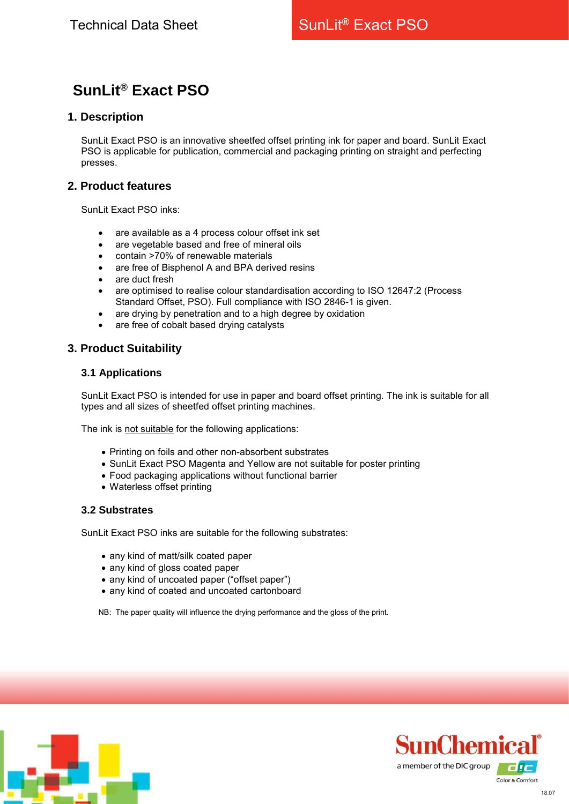# **SunLit® Exact PSO**

## **1. Description**

SunLit Exact PSO is an innovative sheetfed offset printing ink for paper and board. SunLit Exact PSO is applicable for publication, commercial and packaging printing on straight and perfecting presses.

# **2. Product features**

SunLit Exact PSO inks:

- are available as a 4 process colour offset ink set
- are vegetable based and free of mineral oils
- contain >70% of renewable materials
- are free of Bisphenol A and BPA derived resins
- are duct fresh
- are optimised to realise colour standardisation according to ISO 12647:2 (Process Standard Offset, PSO). Full compliance with ISO 2846-1 is given.
- are drying by penetration and to a high degree by oxidation
- are free of cobalt based drying catalysts

## **3. Product Suitability**

#### **3.1 Applications**

SunLit Exact PSO is intended for use in paper and board offset printing. The ink is suitable for all types and all sizes of sheetfed offset printing machines.

The ink is not suitable for the following applications:

- Printing on foils and other non-absorbent substrates
- SunLit Exact PSO Magenta and Yellow are not suitable for poster printing
- Food packaging applications without functional barrier
- Waterless offset printing

#### **3.2 Substrates**

SunLit Exact PSO inks are suitable for the following substrates:

- any kind of matt/silk coated paper
- any kind of gloss coated paper
- any kind of uncoated paper ("offset paper")
- any kind of coated and uncoated cartonboard

NB: The paper quality will influence the drying performance and the gloss of the print.



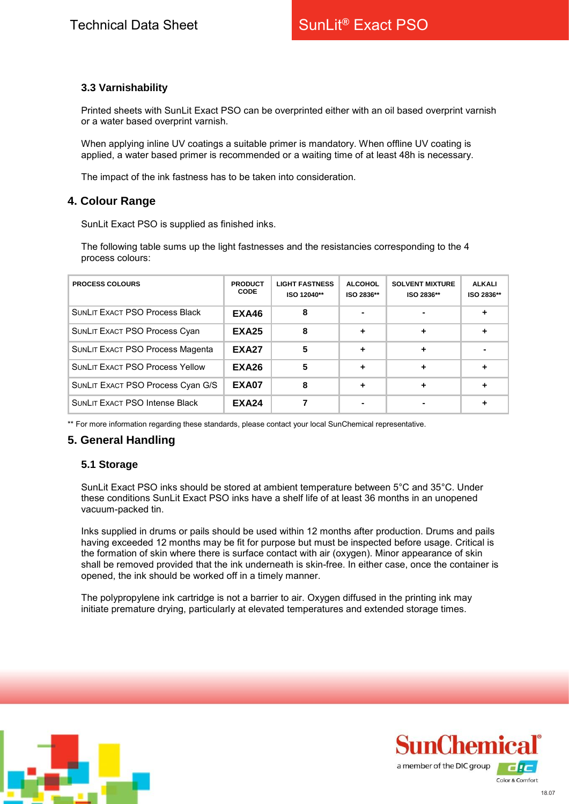## **3.3 Varnishability**

Printed sheets with SunLit Exact PSO can be overprinted either with an oil based overprint varnish or a water based overprint varnish.

When applying inline UV coatings a suitable primer is mandatory. When offline UV coating is applied, a water based primer is recommended or a waiting time of at least 48h is necessary.

The impact of the ink fastness has to be taken into consideration.

# **4. Colour Range**

SunLit Exact PSO is supplied as finished inks.

The following table sums up the light fastnesses and the resistancies corresponding to the 4 process colours:

| <b>PROCESS COLOURS</b>                 | <b>PRODUCT</b><br><b>CODE</b> | <b>LIGHT FASTNESS</b><br>ISO 12040** | <b>ALCOHOL</b><br>ISO 2836** | <b>SOLVENT MIXTURE</b><br>ISO 2836** | <b>ALKALI</b><br>ISO 2836** |
|----------------------------------------|-------------------------------|--------------------------------------|------------------------------|--------------------------------------|-----------------------------|
| <b>SUNLIT EXACT PSO Process Black</b>  | EXA46                         | 8                                    |                              |                                      |                             |
| SUNLIT EXACT PSO Process Cyan          | <b>EXA25</b>                  | 8                                    | ٠                            | ٠                                    |                             |
| SUNLIT EXACT PSO Process Magenta       | <b>EXA27</b>                  | 5                                    |                              |                                      |                             |
| <b>SUNLIT EXACT PSO Process Yellow</b> | <b>EXA26</b>                  | 5                                    |                              | ٠                                    |                             |
| SUNLIT EXACT PSO Process Cyan G/S      | EXA07                         | 8                                    |                              | ٠                                    |                             |
| <b>SUNLIT EXACT PSO Intense Black</b>  | <b>EXA24</b>                  |                                      |                              |                                      |                             |

\*\* For more information regarding these standards, please contact your local SunChemical representative.

# **5. General Handling**

## **5.1 Storage**

SunLit Exact PSO inks should be stored at ambient temperature between 5°C and 35°C. Under these conditions SunLit Exact PSO inks have a shelf life of at least 36 months in an unopened vacuum-packed tin.

Inks supplied in drums or pails should be used within 12 months after production. Drums and pails having exceeded 12 months may be fit for purpose but must be inspected before usage. Critical is the formation of skin where there is surface contact with air (oxygen). Minor appearance of skin shall be removed provided that the ink underneath is skin-free. In either case, once the container is opened, the ink should be worked off in a timely manner.

The polypropylene ink cartridge is not a barrier to air. Oxygen diffused in the printing ink may initiate premature drying, particularly at elevated temperatures and extended storage times.



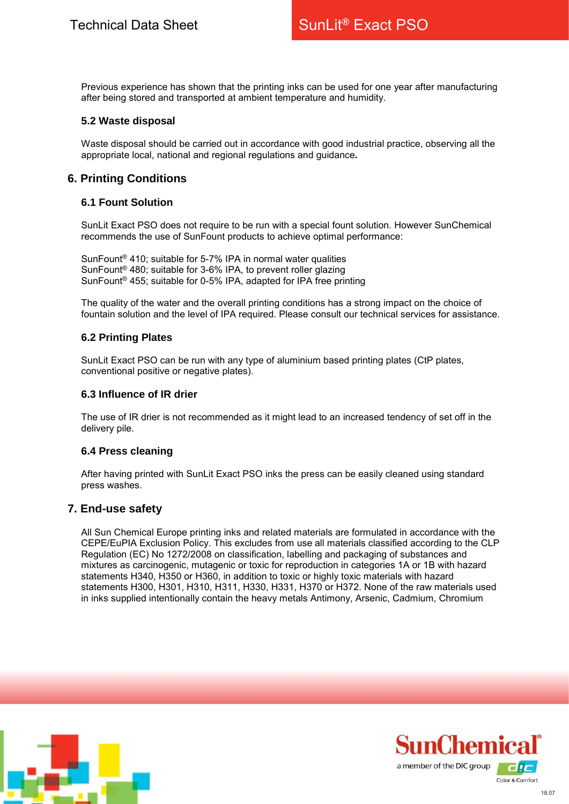Previous experience has shown that the printing inks can be used for one year after manufacturing after being stored and transported at ambient temperature and humidity.

#### **5.2 Waste disposal**

Waste disposal should be carried out in accordance with good industrial practice, observing all the appropriate local, national and regional regulations and guidance*.*

# **6. Printing Conditions**

#### **6.1 Fount Solution**

SunLit Exact PSO does not require to be run with a special fount solution. However SunChemical recommends the use of SunFount products to achieve optimal performance:

SunFount® 410; suitable for 5-7% IPA in normal water qualities SunFount® 480; suitable for 3-6% IPA, to prevent roller glazing SunFount® 455; suitable for 0-5% IPA, adapted for IPA free printing

The quality of the water and the overall printing conditions has a strong impact on the choice of fountain solution and the level of IPA required. Please consult our technical services for assistance.

#### **6.2 Printing Plates**

SunLit Exact PSO can be run with any type of aluminium based printing plates (CtP plates, conventional positive or negative plates).

#### **6.3 Influence of IR drier**

The use of IR drier is not recommended as it might lead to an increased tendency of set off in the delivery pile.

#### **6.4 Press cleaning**

After having printed with SunLit Exact PSO inks the press can be easily cleaned using standard press washes.

## **7. End-use safety**

All Sun Chemical Europe printing inks and related materials are formulated in accordance with the CEPE/EuPIA Exclusion Policy. This excludes from use all materials classified according to the CLP Regulation (EC) No 1272/2008 on classification, labelling and packaging of substances and mixtures as carcinogenic, mutagenic or toxic for reproduction in categories 1A or 1B with hazard statements H340, H350 or H360, in addition to toxic or highly toxic materials with hazard statements H300, H301, H310, H311, H330, H331, H370 or H372. None of the raw materials used in inks supplied intentionally contain the heavy metals Antimony, Arsenic, Cadmium, Chromium